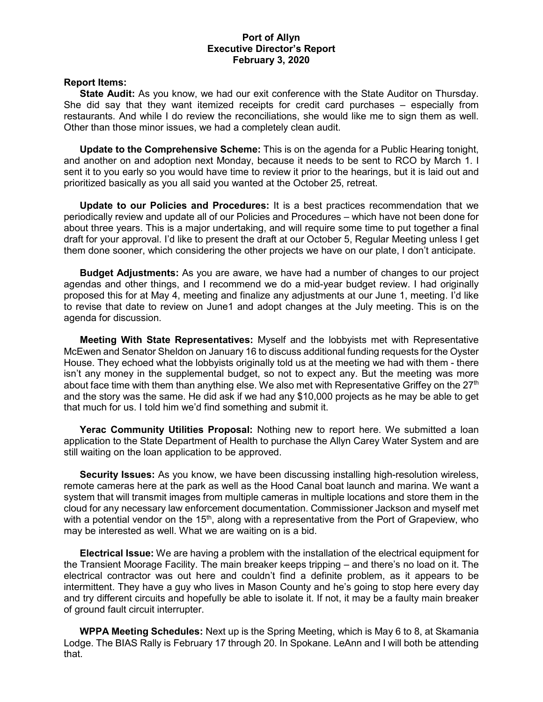## **Port of Allyn Executive Director's Report February 3, 2020**

## **Report Items:**

**State Audit:** As you know, we had our exit conference with the State Auditor on Thursday. She did say that they want itemized receipts for credit card purchases – especially from restaurants. And while I do review the reconciliations, she would like me to sign them as well. Other than those minor issues, we had a completely clean audit.

**Update to the Comprehensive Scheme:** This is on the agenda for a Public Hearing tonight, and another on and adoption next Monday, because it needs to be sent to RCO by March 1. I sent it to you early so you would have time to review it prior to the hearings, but it is laid out and prioritized basically as you all said you wanted at the October 25, retreat.

**Update to our Policies and Procedures:** It is a best practices recommendation that we periodically review and update all of our Policies and Procedures – which have not been done for about three years. This is a major undertaking, and will require some time to put together a final draft for your approval. I'd like to present the draft at our October 5, Regular Meeting unless I get them done sooner, which considering the other projects we have on our plate, I don't anticipate.

**Budget Adjustments:** As you are aware, we have had a number of changes to our project agendas and other things, and I recommend we do a mid-year budget review. I had originally proposed this for at May 4, meeting and finalize any adjustments at our June 1, meeting. I'd like to revise that date to review on June1 and adopt changes at the July meeting. This is on the agenda for discussion.

**Meeting With State Representatives:** Myself and the lobbyists met with Representative McEwen and Senator Sheldon on January 16 to discuss additional funding requests for the Oyster House. They echoed what the lobbyists originally told us at the meeting we had with them - there isn't any money in the supplemental budget, so not to expect any. But the meeting was more about face time with them than anything else. We also met with Representative Griffey on the  $27<sup>th</sup>$ and the story was the same. He did ask if we had any \$10,000 projects as he may be able to get that much for us. I told him we'd find something and submit it.

**Yerac Community Utilities Proposal:** Nothing new to report here. We submitted a loan application to the State Department of Health to purchase the Allyn Carey Water System and are still waiting on the loan application to be approved.

**Security Issues:** As you know, we have been discussing installing high-resolution wireless, remote cameras here at the park as well as the Hood Canal boat launch and marina. We want a system that will transmit images from multiple cameras in multiple locations and store them in the cloud for any necessary law enforcement documentation. Commissioner Jackson and myself met with a potential vendor on the 15<sup>th</sup>, along with a representative from the Port of Grapeview, who may be interested as well. What we are waiting on is a bid.

**Electrical Issue:** We are having a problem with the installation of the electrical equipment for the Transient Moorage Facility. The main breaker keeps tripping – and there's no load on it. The electrical contractor was out here and couldn't find a definite problem, as it appears to be intermittent. They have a guy who lives in Mason County and he's going to stop here every day and try different circuits and hopefully be able to isolate it. If not, it may be a faulty main breaker of ground fault circuit interrupter.

**WPPA Meeting Schedules:** Next up is the Spring Meeting, which is May 6 to 8, at Skamania Lodge. The BIAS Rally is February 17 through 20. In Spokane. LeAnn and I will both be attending that.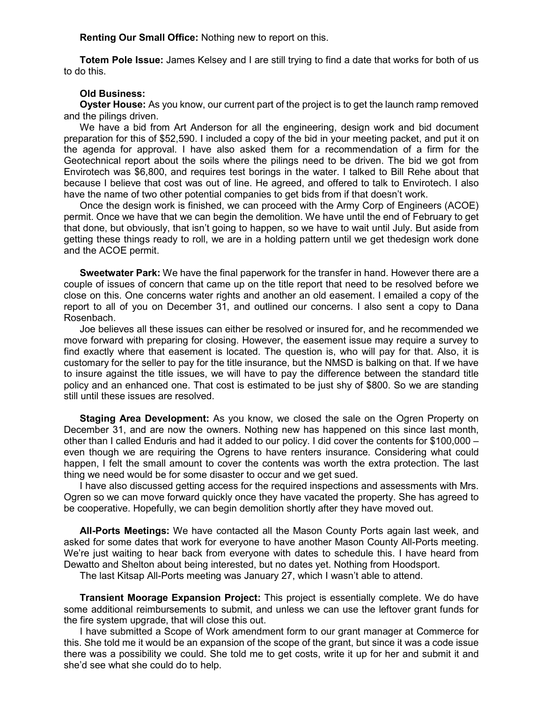**Renting Our Small Office:** Nothing new to report on this.

**Totem Pole Issue:** James Kelsey and I are still trying to find a date that works for both of us to do this.

## **Old Business:**

**Oyster House:** As you know, our current part of the project is to get the launch ramp removed and the pilings driven.

We have a bid from Art Anderson for all the engineering, design work and bid document preparation for this of \$52,590. I included a copy of the bid in your meeting packet, and put it on the agenda for approval. I have also asked them for a recommendation of a firm for the Geotechnical report about the soils where the pilings need to be driven. The bid we got from Envirotech was \$6,800, and requires test borings in the water. I talked to Bill Rehe about that because I believe that cost was out of line. He agreed, and offered to talk to Envirotech. I also have the name of two other potential companies to get bids from if that doesn't work.

Once the design work is finished, we can proceed with the Army Corp of Engineers (ACOE) permit. Once we have that we can begin the demolition. We have until the end of February to get that done, but obviously, that isn't going to happen, so we have to wait until July. But aside from getting these things ready to roll, we are in a holding pattern until we get thedesign work done and the ACOE permit.

**Sweetwater Park:** We have the final paperwork for the transfer in hand. However there are a couple of issues of concern that came up on the title report that need to be resolved before we close on this. One concerns water rights and another an old easement. I emailed a copy of the report to all of you on December 31, and outlined our concerns. I also sent a copy to Dana Rosenbach.

Joe believes all these issues can either be resolved or insured for, and he recommended we move forward with preparing for closing. However, the easement issue may require a survey to find exactly where that easement is located. The question is, who will pay for that. Also, it is customary for the seller to pay for the title insurance, but the NMSD is balking on that. If we have to insure against the title issues, we will have to pay the difference between the standard title policy and an enhanced one. That cost is estimated to be just shy of \$800. So we are standing still until these issues are resolved.

**Staging Area Development:** As you know, we closed the sale on the Ogren Property on December 31, and are now the owners. Nothing new has happened on this since last month, other than I called Enduris and had it added to our policy. I did cover the contents for \$100,000 – even though we are requiring the Ogrens to have renters insurance. Considering what could happen, I felt the small amount to cover the contents was worth the extra protection. The last thing we need would be for some disaster to occur and we get sued.

I have also discussed getting access for the required inspections and assessments with Mrs. Ogren so we can move forward quickly once they have vacated the property. She has agreed to be cooperative. Hopefully, we can begin demolition shortly after they have moved out.

**All-Ports Meetings:** We have contacted all the Mason County Ports again last week, and asked for some dates that work for everyone to have another Mason County All-Ports meeting. We're just waiting to hear back from everyone with dates to schedule this. I have heard from Dewatto and Shelton about being interested, but no dates yet. Nothing from Hoodsport.

The last Kitsap All-Ports meeting was January 27, which I wasn't able to attend.

**Transient Moorage Expansion Project:** This project is essentially complete. We do have some additional reimbursements to submit, and unless we can use the leftover grant funds for the fire system upgrade, that will close this out.

I have submitted a Scope of Work amendment form to our grant manager at Commerce for this. She told me it would be an expansion of the scope of the grant, but since it was a code issue there was a possibility we could. She told me to get costs, write it up for her and submit it and she'd see what she could do to help.